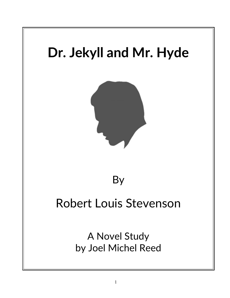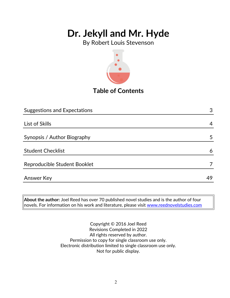By Robert Louis Stevenson



## **Table of Contents**

| <b>Suggestions and Expectations</b> | 3  |
|-------------------------------------|----|
|                                     |    |
| List of Skills                      | 4  |
|                                     |    |
| Synopsis / Author Biography         | 5  |
|                                     |    |
| <b>Student Checklist</b>            | 6  |
|                                     |    |
| Reproducible Student Booklet        |    |
|                                     |    |
| <b>Answer Key</b>                   | 49 |

**About the author:** Joel Reed has over 70 published novel studies and is the author of four  $|$ novels. For information on his work and literature, please visit [www.reednovelstudies.com](http://www.reednovelstudies.com/)

> Copyright © 2016 Joel Reed Revisions Completed in 2022 All rights reserved by author. Permission to copy for single classroom use only. Electronic distribution limited to single classroom use only. Not for public display.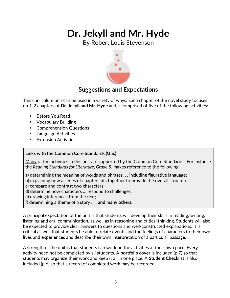By Robert Louis Stevenson



## **Suggestions and Expectations**

This curriculum unit can be used in a variety of ways. Each chapter of the novel study focuses on 1-2 chapters of **Dr. Jekyll and Mr. Hyde** and is comprised of five of the following activities:

- Before You Read
- Vocabulary Building
- Comprehension Questions
- Language Activities
- **Extension Activities**

### **Links with the Common Core Standards (U.S.)**

Many of the activities in this unit are supported by the Common Core Standards. For instance the *Reading Standards for Literature, Grade 5*, makes reference to the following:

- a) determining the meaning of words and phrases. . . including figurative language;
- b) explaining how a series of chapters fits together to provide the overall structure;
- c) compare and contrast two characters;
- d) determine how characters … respond to challenges;
- e) drawing inferences from the text;
- f) determining a theme of a story . . . **and many others.**

A principal expectation of the unit is that students will develop their skills in reading, writing, listening and oral communication, as well as in reasoning and critical thinking. Students will also be expected to provide clear answers to questions and well-constructed explanations. It is critical as well that students be able to relate events and the feelings of characters to their own lives and experiences and describe their own interpretation of a particular passage.

A strength of the unit is that students can work on the activities at their own pace. Every activity need not be completed by all students. A **portfolio cover** is included (p.7) so that students may organize their work and keep it all in one place. A **Student Checklist** is also included (p.6) so that a record of completed work may be recorded.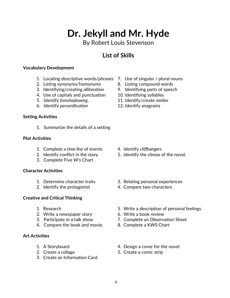By Robert Louis Stevenson

## **List of Skills**

#### **Vocabulary Development**

- 1. Locating descriptive words/phrases 7. Use of singular / plural nouns
- 2. Listing synonyms/homonyms 8. Listing compound words
- 3. Identifying/creating *alliteration* 9. Identifying parts of speech
- 4. Use of capitals and punctuation 10. Identifying syllables
- 
- 6. Identify *personification* 12. Identify anagrams

#### **Setting Activities**

1. Summarize the details of a setting

#### **Plot Activities**

- 1. Complete a *time line* of events 4. Identify *cliffhangers*
- 
- 3. Complete Five W's Chart

#### **Character Activities**

- 
- 

#### **Creative and Critical Thinking**

- 
- 2. Write a newspaper story 6. Write a book review
- 
- 4. Compare the book and movie. 8. Complete a KWS Chart

#### **Art Activities**

- 
- 
- 3. Create an Information Card
- 
- 
- 
- 
- 5. Identify *foreshadowing*. 11. Identify/create *similes*
	-

- 
- 2. Identify conflict in the story 5. Identify the climax of the novel.
- 1. Determine character traits 3. Relating personal experiences
- 2. Identify the protagonist 4. Compare two characters
- 1. Research 5. Write a description of personal feelings
	-
- 3. Participate in a talk show 7. Complete an Observation Sheet
	-
- 1. A Storyboard **1.** A Storyboard **1.** A Storyboard
- 2. Create a collage 5. Create a comic strip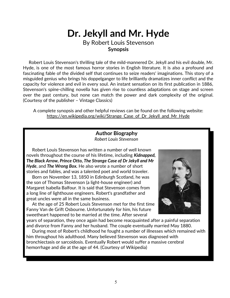## **Dr. Jekyll and Mr. Hyde** By Robert Louis Stevenson **Synopsis**

 Robert Louis Stevenson's thrilling tale of the mild-mannered Dr. Jekyll and his evil double, Mr. Hyde, is one of the most famous horror stories in English literature. It is also a profound and fascinating fable of the divided self that continues to seize readers' imaginations. This story of a misguided genius who brings his doppelganger to life brilliantly dramatizes inner conflict and the capacity for violence and evil in every soul. An instant sensation on its first publication in 1886, Stevenson's spine-chilling novella has given rise to countless adaptations on stage and screen over the past century, but none can match the power and dark complexity of the original. (Courtesy of the publisher – Vintage Classics)

A complete synopsis and other helpful reviews can be found on the following website: https://en.wikipedia.org/wiki/Strange Case of Dr Jekyll and Mr Hyde

### **Author Biography** *Robert Louis Stevenson*

 Robert Louis Stevenson has written a number of well known novels throughout the course of his lifetime, including *Kidnapped, The Black Arrow, Prince Otto, The Strange Case of Dr Jekyll and Mr Hyde*, and *The Wrong Box.* He also wrote a number of short stories and fables, and was a talented poet and world traveler.

 Born on November 13, 1850 in Edinburgh Scotland, he was the son of Thomas Stevenson (a light-house engineer) and Margaret Isabella Balfour. It is said that Stevenson comes from a long line of lighthouse engineers. Robert's grandfather and great uncles were all in the same business.

 At the age of 25 Robert Louis Stevenson met for the first time Fanny Van de Grift Osbourne. Unfortunately for him, his future sweetheart happened to be married at the time. After several



years of separation, they once again had become reacquainted after a painful separation and divorce from Fanny and her husband. The couple eventually married May 1880.

 During most of Robert's childhood he fought a number of illnesses which remained with him throughout his adulthood. Many believed Stevenson was diagnosed with bronchiectasis or sarcoidosis. Eventually Robert would suffer a massive cerebral hemorrhage and die at the age of 44. (Courtesy of Wikipedia)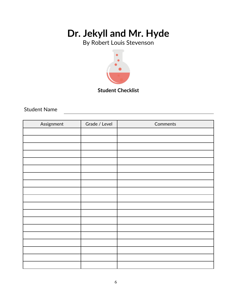By Robert Louis Stevenson



**Student Checklist**

Student Name

| Assignment | Grade / Level | Comments |
|------------|---------------|----------|
|            |               |          |
|            |               |          |
|            |               |          |
|            |               |          |
|            |               |          |
|            |               |          |
|            |               |          |
|            |               |          |
|            |               |          |
|            |               |          |
|            |               |          |
|            |               |          |
|            |               |          |
|            |               |          |
|            |               |          |
|            |               |          |
|            |               |          |
|            |               |          |
|            |               |          |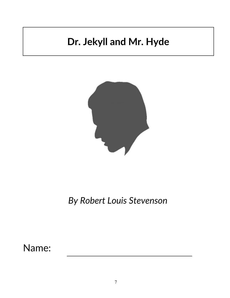

*By Robert Louis Stevenson*

Name: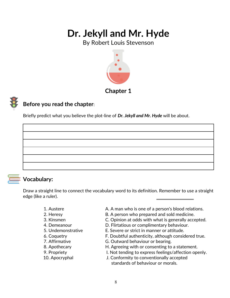By Robert Louis Stevenson



### **Chapter 1**

## **Before you read the chapter**:

Briefly predict what you believe the plot-line of *Dr. Jekyll and Mr. Hyde* will be about.



## **Vocabulary:**

Draw a straight line to connect the vocabulary word to its definition. Remember to use a straight edge (like a ruler).

- 
- 
- 
- 
- 
- 
- 
- 
- 
- 
- 1. Austere **A. A man who is one of a person's blood relations.**
- 2. Heresy **EXALL** B. A person who prepared and sold medicine.
- 3. Kinsmen C. Opinion at odds with what is generally accepted.
- 4. Demeanour D. Flirtatious or complimentary behaviour.
- 5. Undemonstrative E. Severe or strict in manner or attitude.
- 6. Coquetry F. Doubtful authenticity, although considered true.
- 7. Affirmative G. Outward behaviour or bearing.
- 8. Apothecary **H. Agreeing with or consenting to a statement.**
- 9. Propriety **I. Not tending to express feelings/affection openly.**
- 10. Apocryphal J. Conformity to conventionally accepted standards of behaviour or morals.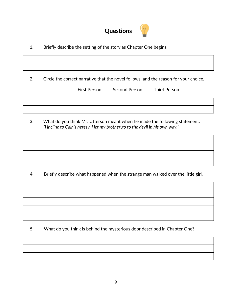

1. Briefly describe the setting of the story as Chapter One begins.

2. Circle the correct narrative that the novel follows, and the reason for your choice.

| First Person | Second Person | <b>Third Person</b> |
|--------------|---------------|---------------------|
|--------------|---------------|---------------------|

3. What do you think Mr. Utterson meant when he made the following statement: *"I incline to Cain's heresy, I let my brother go to the devil in his own way."*

4. Briefly describe what happened when the strange man walked over the little girl.

5. What do you think is behind the mysterious door described in Chapter One?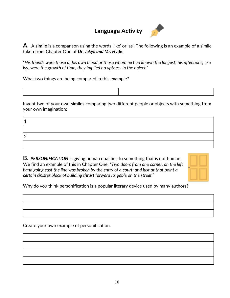## **Language Activity**



**A.** A **simile** is a comparison using the words 'like' or 'as'. The following is an example of a simile taken from Chapter One of *Dr. Jekyll and Mr. Hyde*:

"*His friends were those of his own blood or those whom he had known the longest; his affections, like ivy, were the growth of time, they implied no aptness in the object.*"

What two things are being compared in this example?

Invent two of your own **similes** comparing two different people or objects with something from your own imagination:

| י ו |  |
|-----|--|
|     |  |

**B.** *PERSONIFICATION* is giving human qualities to something that is not human. We find an example of this in Chapter One: *"Two doors from one corner, on the left hand going east the line was broken by the entry of a court; and just at that point a certain sinister block of building thrust forward its gable on the street."* 



Why do you think personification is a popular literary device used by many authors?

Create your own example of personification.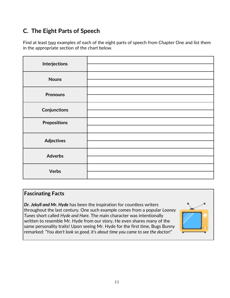## **C. The Eight Parts of Speech**

Find at least two examples of each of the eight parts of speech from Chapter One and list them in the appropriate section of the chart below.

| Interjections       |  |
|---------------------|--|
|                     |  |
| <b>Nouns</b>        |  |
|                     |  |
| <b>Pronouns</b>     |  |
| <b>Conjunctions</b> |  |
|                     |  |
| <b>Prepositions</b> |  |
|                     |  |
| <b>Adjectives</b>   |  |
|                     |  |
| <b>Adverbs</b>      |  |
|                     |  |
| <b>Verbs</b>        |  |
|                     |  |

### **Fascinating Facts**

*Dr. Jekyll and Mr. Hyde* has been the inspiration for countless writers throughout the last century. One such example comes from a popular *Looney Tunes* short called *Hyde and Hare.* The main character was intentionally written to resemble Mr. Hyde from our story*.* He even shares many of the same personality traits! Upon seeing Mr. Hyde for the first time, Bugs Bunny remarked: *"You don't look so good, it's about time you came to see the doctor!"*